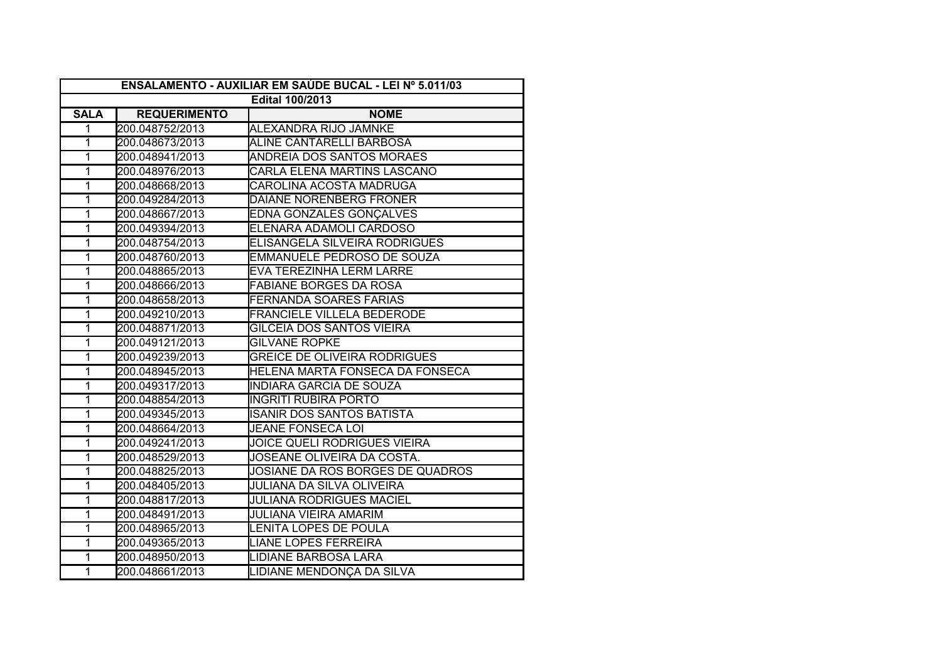| ENSALAMENTO - AUXILIAR EM SAÚDE BUCAL - LEI Nº 5.011/03 |                     |                                     |  |
|---------------------------------------------------------|---------------------|-------------------------------------|--|
| <b>Edital 100/2013</b>                                  |                     |                                     |  |
| <b>SALA</b>                                             | <b>REQUERIMENTO</b> | <b>NOME</b>                         |  |
| $\mathbf{1}$                                            | 200.048752/2013     | ALEXANDRA RIJO JAMNKE               |  |
| $\overline{1}$                                          | 200.048673/2013     | <b>ALINE CANTARELLI BARBOSA</b>     |  |
| $\overline{1}$                                          | 200.048941/2013     | <b>ANDREIA DOS SANTOS MORAES</b>    |  |
| $\overline{1}$                                          | 200.048976/2013     | CARLA ELENA MARTINS LASCANO         |  |
| $\overline{1}$                                          | 200.048668/2013     | CAROLINA ACOSTA MADRUGA             |  |
| 1                                                       | 200.049284/2013     | DAIANE NORENBERG FRONER             |  |
| $\overline{1}$                                          | 200.048667/2013     | EDNA GONZALES GONÇALVES             |  |
| $\overline{1}$                                          | 200.049394/2013     | ELENARA ADAMOLI CARDOSO             |  |
| $\overline{1}$                                          | 200.048754/2013     | ELISANGELA SILVEIRA RODRIGUES       |  |
| $\overline{1}$                                          | 200.048760/2013     | <b>EMMANUELE PEDROSO DE SOUZA</b>   |  |
| $\overline{1}$                                          | 200.048865/2013     | <b>EVA TEREZINHA LERM LARRE</b>     |  |
| $\overline{1}$                                          | 200.048666/2013     | <b>FABIANE BORGES DA ROSA</b>       |  |
| $\overline{1}$                                          | 200.048658/2013     | <b>FERNANDA SOARES FARIAS</b>       |  |
| $\overline{1}$                                          | 200.049210/2013     | <b>FRANCIELE VILLELA BEDERODE</b>   |  |
| 1                                                       | 200.048871/2013     | GILCEIA DOS SANTOS VIEIRA           |  |
| 1                                                       | 200.049121/2013     | <b>GILVANE ROPKE</b>                |  |
| 1                                                       | 200.049239/2013     | <b>GREICE DE OLIVEIRA RODRIGUES</b> |  |
| $\overline{1}$                                          | 200.048945/2013     | HELENA MARTA FONSECA DA FONSECA     |  |
| $\overline{1}$                                          | 200.049317/2013     | <b>INDIARA GARCIA DE SOUZA</b>      |  |
| $\overline{1}$                                          | 200.048854/2013     | INGRITI RUBIRA PORTO                |  |
| $\overline{1}$                                          | 200.049345/2013     | ISANIR DOS SANTOS BATISTA           |  |
| $\overline{1}$                                          | 200.048664/2013     | <b>JEANE FONSECA LOI</b>            |  |
| $\overline{1}$                                          | 200.049241/2013     | JOICE QUELI RODRIGUES VIEIRA        |  |
| $\overline{1}$                                          | 200.048529/2013     | JOSEANE OLIVEIRA DA COSTA.          |  |
| $\overline{1}$                                          | 200.048825/2013     | JOSIANE DA ROS BORGES DE QUADROS    |  |
| $\overline{1}$                                          | 200.048405/2013     | <b>JULIANA DA SILVA OLIVEIRA</b>    |  |
| 1                                                       | 200.048817/2013     | JULIANA RODRIGUES MACIEL            |  |
| $\overline{1}$                                          | 200.048491/2013     | JULIANA VIEIRA AMARIM               |  |
| 1                                                       | 200.048965/2013     | LENITA LOPES DE POULA               |  |
| 1                                                       | 200.049365/2013     | <b>LIANE LOPES FERREIRA</b>         |  |
| 1                                                       | 200.048950/2013     | LIDIANE BARBOSA LARA                |  |
| $\overline{1}$                                          | 200.048661/2013     | LIDIANE MENDONÇA DA SILVA           |  |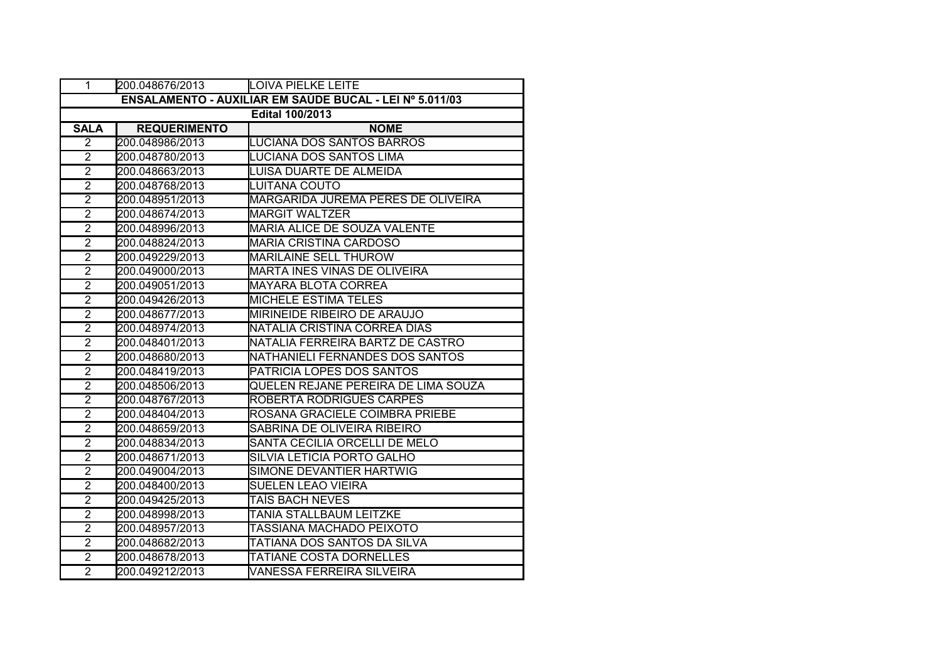| 1                                                       | 200.048676/2013     | <b>LOIVA PIELKE LEITE</b>           |  |  |
|---------------------------------------------------------|---------------------|-------------------------------------|--|--|
| ENSALAMENTO - AUXILIAR EM SAÚDE BUCAL - LEI Nº 5.011/03 |                     |                                     |  |  |
| <b>Edital 100/2013</b>                                  |                     |                                     |  |  |
| <b>SALA</b>                                             | <b>REQUERIMENTO</b> | <b>NOME</b>                         |  |  |
| $\overline{2}$                                          | 200.048986/2013     | LUCIANA DOS SANTOS BARROS           |  |  |
| $\overline{2}$                                          | 200.048780/2013     | LUCIANA DOS SANTOS LIMA             |  |  |
| $\overline{2}$                                          | 200.048663/2013     | LUISA DUARTE DE ALMEIDA             |  |  |
| $\overline{2}$                                          | 200.048768/2013     | LUITANA COUTO                       |  |  |
| $\overline{2}$                                          | 200.048951/2013     | MARGARIDA JUREMA PERES DE OLIVEIRA  |  |  |
| $\overline{2}$                                          | 200.048674/2013     | <b>MARGIT WALTZER</b>               |  |  |
| $\overline{2}$                                          | 200.048996/2013     | <b>MARIA ALICE DE SOUZA VALENTE</b> |  |  |
| $\overline{2}$                                          | 200.048824/2013     | <b>MARIA CRISTINA CARDOSO</b>       |  |  |
| $\overline{2}$                                          | 200.049229/2013     | <b>MARILAINE SELL THUROW</b>        |  |  |
| $\overline{2}$                                          | 200.049000/2013     | <b>MARTA INES VINAS DE OLIVEIRA</b> |  |  |
| $\overline{2}$                                          | 200.049051/2013     | MAYARA BLOTA CORREA                 |  |  |
| $\overline{2}$                                          | 200.049426/2013     | <b>MICHELE ESTIMA TELES</b>         |  |  |
| $\overline{2}$                                          | 200.048677/2013     | <b>MIRINEIDE RIBEIRO DE ARAUJO</b>  |  |  |
| $\overline{2}$                                          | 200.048974/2013     | NATALIA CRISTINA CORREA DIAS        |  |  |
| $\overline{2}$                                          | 200.048401/2013     | NATALIA FERREIRA BARTZ DE CASTRO    |  |  |
| $\overline{2}$                                          | 200.048680/2013     | NATHANIELI FERNANDES DOS SANTOS     |  |  |
| $\overline{2}$                                          | 200.048419/2013     | PATRICIA LOPES DOS SANTOS           |  |  |
| $\overline{2}$                                          | 200.048506/2013     | QUELEN REJANE PEREIRA DE LIMA SOUZA |  |  |
| $\overline{2}$                                          | 200.048767/2013     | <b>ROBERTA RODRIGUES CARPES</b>     |  |  |
| $\overline{2}$                                          | 200.048404/2013     | ROSANA GRACIELE COIMBRA PRIEBE      |  |  |
| $\overline{2}$                                          | 200.048659/2013     | SABRINA DE OLIVEIRA RIBEIRO         |  |  |
| $\overline{2}$                                          | 200.048834/2013     | SANTA CECILIA ORCELLI DE MELO       |  |  |
| $\overline{2}$                                          | 200.048671/2013     | SILVIA LETICIA PORTO GALHO          |  |  |
| $\overline{2}$                                          | 200.049004/2013     | SIMONE DEVANTIER HARTWIG            |  |  |
| $\overline{2}$                                          | 200.048400/2013     | SUELEN LEAO VIEIRA                  |  |  |
| $\overline{2}$                                          | 200.049425/2013     | TAÍS BACH NEVES                     |  |  |
| $\overline{2}$                                          | 200.048998/2013     | TANIA STALLBAUM LEITZKE             |  |  |
| $\overline{2}$                                          | 200.048957/2013     | TASSIANA MACHADO PEIXOTO            |  |  |
| $\overline{2}$                                          | 200.048682/2013     | TATIANA DOS SANTOS DA SILVA         |  |  |
| $\overline{2}$                                          | 200.048678/2013     | <b>TATIANE COSTA DORNELLES</b>      |  |  |
| $\overline{2}$                                          | 200.049212/2013     | <b>VANESSA FERREIRA SILVEIRA</b>    |  |  |